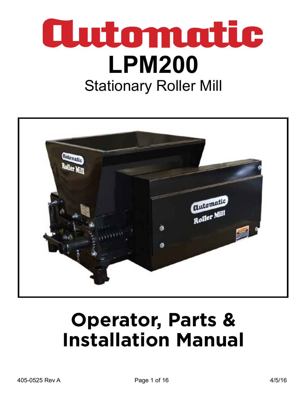



# **Operator, Parts & Installation Manual**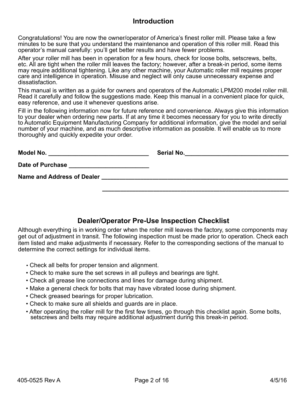#### **Introduction**

Congratulations! You are now the owner/operator of America's finest roller mill. Please take a few minutes to be sure that you understand the maintenance and operation of this roller mill. Read this operator's manual carefully: you'll get better results and have fewer problems.

After your roller mill has been in operation for a few hours, check for loose bolts, setscrews, belts, etc. All are tight when the roller mill leaves the factory; however, after a break-in period, some items may require additional tightening. Like any other machine, your Automatic roller mill requires proper care and intelligence in operation. Misuse and neglect will only cause unnecessary expense and dissatisfaction.

This manual is written as a guide for owners and operators of the Automatic LPM200 model roller mill. Read it carefully and follow the suggestions made. Keep this manual in a convenient place for quick, easy reference, and use it whenever questions arise.

Fill in the following information now for future reference and convenience. Always give this information to your dealer when ordering new parts. If at any time it becomes necessary for you to write directly to Automatic Equipment Manufacturing Company for additional information, give the model and serial number of your machine, and as much descriptive information as possible. It will enable us to more thoroughly and quickly expedite your order.

| Model No.                                                           | Serial No.                                              |
|---------------------------------------------------------------------|---------------------------------------------------------|
| Date of Purchase<br><u> 1980 - Jan Sterling von Berger (* 1950)</u> |                                                         |
| <b>Name and Address of Dealer</b>                                   | <u> 1980 - Johann Stein, fransk politiker (d. 1980)</u> |
|                                                                     |                                                         |

#### **Dealer/Operator Pre-Use Inspection Checklist**

Although everything is in working order when the roller mill leaves the factory, some components may get out of adjustment in transit. The following inspection must be made prior to operation. Check each item listed and make adjustments if necessary. Refer to the corresponding sections of the manual to determine the correct settings for individual items.

- Check all belts for proper tension and alignment.
- Check to make sure the set screws in all pulleys and bearings are tight.
- Check all grease line connections and lines for damage during shipment.
- Make a general check for bolts that may have vibrated loose during shipment.
- Check greased bearings for proper lubrication.
- Check to make sure all shields and guards are in place.
- After operating the roller mill for the first few times, go through this checklist again. Some bolts, setscrews and belts may require additional adjustment during this break-in period.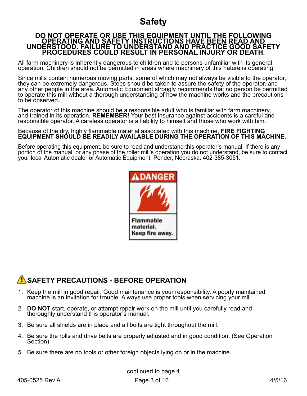### **Safety**

#### **DO NOT OPERATE OR USE THIS EQUIPMENT UNTIL THE FOLLOWING OPERATING AND SAFETY INSTRUCTIONS HAVE BEEN READ AND UNDERSTOOD. FAILURE TO UNDERSTAND AND PRACTICE GOOD SAFETY PROCEDURES COULD RESULT IN PERSONAL INJURY OR DEATH.**

All farm machinery is inherently dangerous to children and to persons unfamiliar with its general operation. Children should not be permitted in areas where machinery of this nature is operating.

Since mills contain numerous moving parts, some of which may not always be visible to the operator, they can be extremely dangerous. Steps should be taken to assure the safety of the operator, and any other people in the area. Automatic Equipment strongly recommends that no person be permitted to operate this mill without a thorough understanding of how the machine works and the precautions to be observed.

The operator of this machine should be a responsible adult who is familiar with farm machinery, and trained in its operation. **REMEMBER!** Your best insurance against accidents is a careful and responsible operator. A careless operator is a liability to himself and those who work with him.

#### Because of the dry, highly flammable material associated with this machine, **FIRE FIGHTING EQUIPMENT SHOULD BE READILY AVAILABLE DURING THE OPERATION OF THIS MACHINE.**

Before operating this equipment, be sure to read and understand this operator's manual. If there is any portion of the manual, or any phase of the roller mill's operation you do not understand, be sure to contact your local Automatic dealer or Automatic Equipment, Pender, Nebraska. 402-385-3051.



#### **AN** SAFETY PRECAUTIONS - BEFORE OPERATION

- 1. Keep the mill in good repair. Good maintenance is your responsibility. A poorly maintained machine is an invitation for trouble. Always use proper tools when servicing your mill.
- 2. **DO NOT** start, operate, or attempt repair work on the mill until you carefully read and thoroughly understand this operator's manual.
- 3. Be sure all shields are in place and all bolts are tight throughout the mill.
- 4. Be sure the rolls and drive belts are properly adjusted and in good condition. (See Operation Section)
- 5 Be sure there are no tools or other foreign objects lying on or in the machine.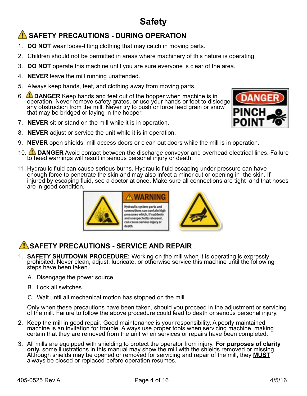# **Safety**

### **AN SAFETY PRECAUTIONS - DURING OPERATION**

- 1. **DO NOT** wear loose-fitting clothing that may catch in moving parts.
- 2. Children should not be permitted in areas where machinery of this nature is operating.
- 3. **DO NOT** operate this machine until you are sure everyone is clear of the area.
- 4. **NEVER** leave the mill running unattended.
- 5. Always keep hands, feet, and clothing away from moving parts.
- 6. **DANGER** Keep hands and feet out of the hopper when machine is in operation. Never remove safety grates, or use your hands or feet to dislodge any obstruction from the mill. Never try to push or force feed grain or snow that may be bridged or laying in the hopper.
- 7. **NEVER** sit or stand on the mill while it is in operation.
- 8. **NEVER** adjust or service the unit while it is in operation.
- 9. **NEVER** open shields, mill access doors or clean out doors while the mill is in operation.
- 10. **DANGER** Avoid contact between the discharge conveyor and overhead electrical lines. Failure to heed warnings will result in serious personal injury or death.
- 11. Hydraulic fluid can cause serious burns. Hydraulic fluid escaping under pressure can have enough force to penetrate the skin and may also infect a minor cut or opening in the skin. If injured by escaping fluid, see a doctor at once. Make sure all connections are tight and that hoses are in good condition.





### **SAFETY PRECAUTIONS - SERVICE AND REPAIR**

- 1. **SAFETY SHUTDOWN PROCEDURE:** Working on the mill when it is operating is expressly prohibited. Never clean, adjust, lubricate, or otherwise service this machine until the following steps have been taken.
	- A. Disengage the power source.
	- B. Lock all switches.
	- C. Wait until all mechanical motion has stopped on the mill.

Only when these precautions have been taken, should you proceed in the adjustment or servicing of the mill. Failure to follow the above procedure could lead to death or serious personal injury.

- 2. Keep the mill in good repair. Good maintenance is your responsibility. A poorly maintained machine is an invitation for trouble. Always use proper tools when servicing machine, making certain that they are removed from the unit when services or repairs have been completed.
- 3. All mills are equipped with shielding to protect the operator from injury. For purposes of clarity only, some illustrations in this manual may show the mill with the shields removed or missing. Although shields may be o always be closed or replaced before operation resumes.

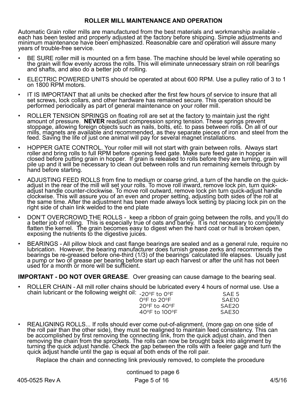#### **ROLLER MILL MAINTENANCE AND OPERATION**

Automatic Grain roller mills are manufactured from the best materials and workmanship available each has been tested and properly adjusted at the factory before shipping. Simple adjustments and minimum maintenance have been emphasized. Reasonable care and operation will assure many years of trouble-free service.

- BE SURE roller mill is mounted on a firm base. The machine should be level while operating so the grain will flow evenly across the rolls. This will eliminate unnecessary strain on roll bearings and shafts, and also do a better job of rolling.
- ELECTRIC POWERED UNITS should be operated at about 600 RPM. Use a pulley ratio of 3 to 1 on 1800 RPM motors.
- IT IS IMPORTANT that all units be checked after the first few hours of service to insure that all set screws, lock collars, and other hardware has remained secure. This operation should be performed periodically as part of general maintenance on your roller mill.
- ROLLER TENSION SPRINGS on floating roll are set at the factory to maintain just the right amount of pressure. **NEVER** readjust compression spring tension. These springs prevent<br>stoppage, allowing foreign objects such as nails, bolts, etc. to pass between rolls. On all of our mills, magnets are available and recommended, as they separate pieces of iron and steel from the feed. Saving the life of just one animal will pay for several magnet installations.
- HOPPER GATE CONTROL. Your roller mill will not start with grain between rolls. Always start roller and bring rolls to full RPM before opening feed gate. Make sure feed gate in hopper is closed before putting grain in hopper. If grain is released to rolls before they are turning, grain will pile up and it will be necessary to clean out between rolls and run remaining kernels through by hand before starting.
- ADJUSTING FEED ROLLS from fine to medium or coarse grind, a turn of the handle on the quickadjust in the rear of the mill will set your rolls. To move roll inward, remove lock pin, turn quickadjust handle counter-clockwise. To move roll outward, remove lock pin turn quick-adjust handle clockwise. This will assure you of an even and proper setting, adjusting both sides of the roll at the same time. After the adjustment has been made always lock setting by placing lock pin on the right side of chain link welded to the end plate
- DON'T OVERCROWD THE ROLLS keep a ribbon of grain going between the rolls, and you'll do a better job of rolling. This is especially true of oats and barley. It is not necessary to completely flatten the kernel. The grain becomes easy to digest when the hard coat or hull is broken open, exposing the nutrients to the digestive juices.
- BEARINGS All pillow block and cast flange bearings are sealed and as a general rule, require no lubrication. However, the bearing manufacturer does furnish grease zerks and recommends the bearings be re-greased before one-third (1/3) of the bearings calculated life elapses. Usually just a pump or two of grease per bearing before start up each harvest or after the unit has not been used for a month or more will be sufficient.

**IMPORTANT - DO NOT OVER GREASE**. Over greasing can cause damage to the bearing seal.

• ROLLER CHAIN - All mill roller chains should be lubricated every 4 hours of normal use. Use a chain lubricant or the following weight oil:  $_{20^{\circ}F}$  to  $_{0^{\circ}F}$  sale 5

| · -20ºF to 0ºF                    | SAE 5             |
|-----------------------------------|-------------------|
| $O^{\circ}$ F to 20 $^{\circ}$ F  | SAE10             |
| 20 $\degree$ F to 40 $\degree$ F  | SAE <sub>20</sub> |
| $40^{\circ}$ F to $100^{\circ}$ F | SAE30             |
|                                   |                   |

REALIGNING ROLLS... If rolls should ever come out-of-alignment, (more gap on one side of the roll pair than the other side), they must be realigned to maintain feed consistency. This can be accomplished by first removing the connecting link, from the quick adjust chain, and then removing the chain from the sprockets. The rolls can now be brought back into alignment by turning the quick adjust handle. Check the gap between the rolls with a feeler gage and turn the quick adjust handle until the gap is equal at both ends of the roll pair.

Replace the chain and connecting link previously removed, to complete the procedure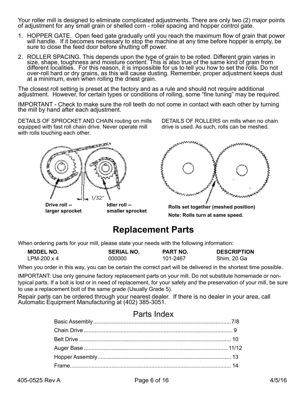Your roller mill is designed to eliminate complicated adjustments. There are only two (2) major points of adjustment for any small grain or shelled corn - roller spacing and hopper control gate.

- 1. HOPPER GATE. Open feed gate gradually until you reach the maximum flow of grain that power will handle. If it becomes necessary to stop the machine at any time before hopper is empty, be sure to close the feed door before shutting off power.
- 2. ROLLER SPACING. This depends upon the type of grain to be rolled. Different grain varies in size, shape, toughness and moisture content. This is also true of the same kind of grain from different localities. For this reason, it is impossible for us to tell you how to set the rolls. Do not over-roll hard or dry grains, as this will cause dusting. Remember, proper adjustment keeps dust at a minimum, even when rolling the driest grain.

The closest roll setting is preset at the factory and as a rule and should not require additional adjustment. However, for certain types or conditions of rolling, some "fine tuning" may be required.

IMPORTANT - Check to make sure the roll teeth do not come in contact with each other by turning the mill by hand after each adjustment.

DETAILS OF SPROCKET AND CHAIN routing on mills equipped with fast roll chain drive. Never operate mill with rolls touching each other.



**larger sprocket**

DETAILS OF ROLLERS on mills when no chain drive is used. As such, rolls can be meshed.



**smaller sprocket Rolls set together (meshed position) Note: Rolls turn at same speed.**

### **Replacement Parts**

When ordering parts for your mill, please state your needs with the following information:

| <b>MODEL NO.</b> | <b>SERIAL NO.</b> | <b>PART NO.</b> | <b>DESCRIPTION</b> |
|------------------|-------------------|-----------------|--------------------|
| LPM-200 x 4      | 000000            | 101-2467        | Shim, 20 Ga        |

When you order in this way, you can be certain the correct part will be delivered in the shortest time possible.

IMPORTANT: Use only genuine factory replacement parts on your mill. Do not substitute homemade or nontypical parts. If a bolt is lost or in need of replacement, for your safety and the preservation of your mill, be sure to use a replacement bolt of the same grade (Usually Grade 5).

Repair parts can be ordered through your nearest dealer. If there is no dealer in your area, call Automatic Equipment Manufacturing at (402) 385-3051.

#### Parts Index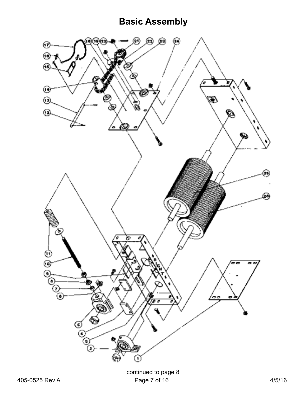# **Basic Assembly**

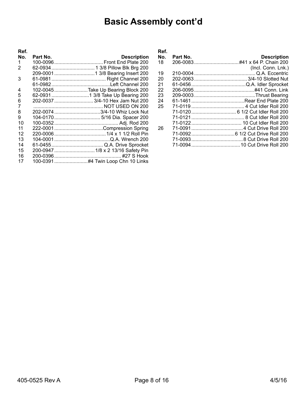# **Basic Assembly cont'd**

| Ref. |          |                                    |
|------|----------|------------------------------------|
| No.  | Part No. | <b>Description</b>                 |
| 1    |          |                                    |
| 2    |          |                                    |
|      |          |                                    |
| 3    |          |                                    |
|      |          |                                    |
| 4    |          | 102-0045 Take Up Bearing Block 200 |
| 5    |          |                                    |
| 6    |          | 202-0037  3/4-10 Hex Jam Nut 200   |
| 7    |          |                                    |
| 8    |          | 202-0074 3/4-10 Whiz Lock Nut      |
| 9    |          |                                    |
| 10   |          |                                    |
| 11   |          |                                    |
| 12   |          |                                    |
| 13   |          |                                    |
| 14   |          |                                    |
| 15   |          | 200-0947  1/8 x 2 13/16 Safety Pin |
| 16   |          |                                    |
| 17   |          |                                    |

| Ref. |          |                     |
|------|----------|---------------------|
| No.  | Part No. | <b>Description</b>  |
| 18   |          |                     |
|      |          | (Incl. Conn. Lnk.)  |
| 19   | 210-0004 |                     |
| 20   |          |                     |
| 21   | 61-0456. | Q.A. Idler Sprocket |
| 22   |          |                     |
| 23   |          |                     |
| 24   |          |                     |
| 25   |          |                     |
|      |          |                     |
|      |          |                     |
|      |          |                     |
| 26   |          |                     |
|      |          |                     |
|      |          |                     |
|      |          |                     |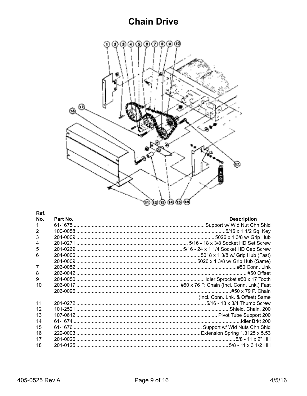#### **Chain Drive**



#### Ref. No. Part No. **Description**  $\mathbf{1}$  $\overline{2}$ 3  $\overline{\mathbf{4}}$ 5 6  $\overline{7}$ 8 9  $10$ (Incl. Conn. Lnk. & Offset) Same  $11$  $12$  $13$  $14$ 15  $16$ 17 18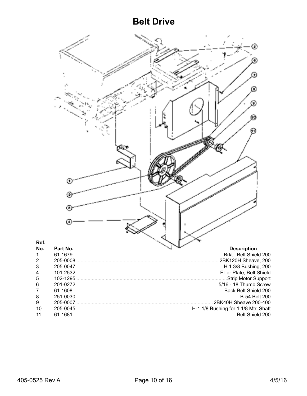#### **Belt Drive**

|                  | Œ        |                        |
|------------------|----------|------------------------|
|                  |          |                        |
| Ref.             |          |                        |
| No.              | Part No. | <b>Description</b>     |
| 1                | 61-1679  | Brkt., Belt Shield 200 |
| $\boldsymbol{2}$ |          |                        |
| 3                |          |                        |
| 4                |          |                        |
| 5                |          |                        |
| 6                |          |                        |
| 7                |          |                        |
| 8                |          |                        |
| 9                |          |                        |
| 10               |          |                        |
| 11               |          |                        |
|                  |          |                        |

 $\mathbf{1}$  $\sqrt{2}$ 

 $\mathbf{3}$ 

 $\overline{\mathbf{4}}$ 

 $\sqrt{5}$ 

 $\begin{array}{c} 6 \\ 7 \end{array}$ 

 $\begin{array}{c} 8 \\ 9 \end{array}$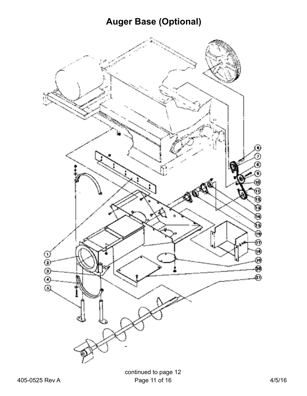# **Auger Base (Optional)**

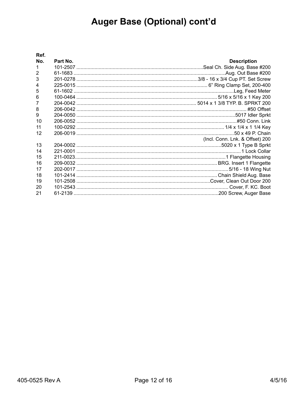# Auger Base (Optional) cont'd

| Ref.           |          |                                 |
|----------------|----------|---------------------------------|
| No.            | Part No. | <b>Description</b>              |
| $\mathbf{1}$   |          |                                 |
| 2              |          |                                 |
| 3              |          |                                 |
| $\overline{4}$ |          |                                 |
| 5              |          |                                 |
| 6              |          |                                 |
| 7              |          |                                 |
| 8              |          |                                 |
| 9              |          |                                 |
| 10             |          |                                 |
| 11             |          |                                 |
| 12             |          |                                 |
|                |          | (Incl. Conn. Lnk. & Offset) 200 |
| 13             |          |                                 |
| 14             |          |                                 |
| 15             |          |                                 |
| 16             |          |                                 |
| 17             |          |                                 |
| 18             |          |                                 |
| 19             |          |                                 |
| 20             |          |                                 |
| 21             |          |                                 |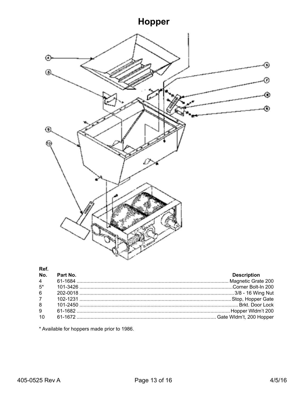# Hopper



#### Ref.

|                | No. Part No. | <b>Description</b> |
|----------------|--------------|--------------------|
|                |              |                    |
| $5*$           |              |                    |
| 6 <sup>1</sup> |              |                    |
| $7^{\circ}$    |              |                    |
| $8^{\circ}$    |              |                    |
| 9              |              |                    |
| 10             |              |                    |

\* Available for hoppers made prior to 1986.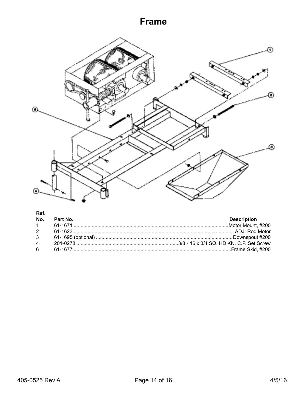### **Frame**



#### Ref.

| No. Part No. | <b>Description</b> |
|--------------|--------------------|
|              |                    |
|              |                    |
|              |                    |
|              |                    |
|              |                    |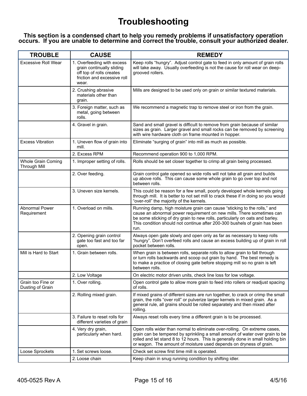### **Troubleshooting**

#### **This section is a condensed chart to help you remedy problems if unsatisfactory operation occurs. If you are unable to determine and correct the trouble, consult your authorized dealer.**

| <b>TROUBLE</b>                            | <b>CAUSE</b>                                                                                                                | <b>REMEDY</b>                                                                                                                                                                                                                                                                                                           |
|-------------------------------------------|-----------------------------------------------------------------------------------------------------------------------------|-------------------------------------------------------------------------------------------------------------------------------------------------------------------------------------------------------------------------------------------------------------------------------------------------------------------------|
| <b>Excessive Roll Wear</b>                | 1. Overfeeding with excess<br>grain continually sliding<br>off top of rolls creates<br>friction and excessive roll<br>wear. | Keep rolls "hungry". Adjust control gate to feed in only amount of grain rolls<br>will take away. Usually overfeeding is not the cause for roll wear on deep-<br>grooved rollers.                                                                                                                                       |
|                                           | 2. Crushing abrasive<br>materials other than<br>grain.                                                                      | Mills are designed to be used only on grain or similar textured materials.                                                                                                                                                                                                                                              |
|                                           | 3. Foreign matter, such as<br>metal, going between<br>rolls.                                                                | We recommend a magnetic trap to remove steel or iron from the grain.                                                                                                                                                                                                                                                    |
|                                           | 4. Gravel in grain.                                                                                                         | Sand and small gravel is difficult to remove from grain because of similar<br>sizes as grain. Larger gravel and small rocks can be removed by screening<br>with wire hardware cloth on frame mounted in hopper.                                                                                                         |
| <b>Excess Vibration</b>                   | 1. Uneven flow of grain into<br>mill.                                                                                       | Eliminate "surging of grain" into mill as much as possible.                                                                                                                                                                                                                                                             |
|                                           | 2. Excess RPM                                                                                                               | Recommend operation 900 to 1,000 RPM.                                                                                                                                                                                                                                                                                   |
| Whole Grain Coming<br><b>Through Mill</b> | 1. Improper setting of rolls.                                                                                               | Rolls should be set closer together to crimp all grain being processed.                                                                                                                                                                                                                                                 |
|                                           | 2. Over feeding.                                                                                                            | Grain control gate opened so wide rolls will not take all grain and builds<br>up above rolls. This can cause some whole grain to go over top and not<br>between rolls.                                                                                                                                                  |
|                                           | 3. Uneven size kernels.                                                                                                     | This could be reason for a few small, poorly developed whole kernels going<br>through mill. It is better to not set mill to crack these if in doing so you would<br>"over-roll" the majority of the kernels.                                                                                                            |
| Abnormal Power<br>Requirement             | 1. Overload on mills.                                                                                                       | Running damp, high moisture grain can cause "sticking to the rolls," and<br>cause an abnormal power requirement on new mills. There sometimes can<br>be some sticking of dry grain to new rolls, particularly on oats and barley.<br>This condition should not continue after 200-300 bushels of grain has been<br>run. |
|                                           | 2. Opening grain control<br>gate too fast and too far<br>open.                                                              | Always open gate slowly and open only as far as necessary to keep rolls<br>"hungry". Don't overfeed rolls and cause an excess building up of grain in roll<br>pocket between rolls.                                                                                                                                     |
| Mill is Hard to Start                     | 1. Grain between rolls.                                                                                                     | When grain is between rolls, separate rolls to allow grain to fall through<br>or turn rolls backwards and scoop out grain by hand. The best remedy is<br>to make a practice of closing gate before stopping mill so no grain is left<br>between rolls.                                                                  |
|                                           | 2. Low Voltage                                                                                                              | On electric motor driven units, check line loss for low voltage.                                                                                                                                                                                                                                                        |
| Grain too Fine or<br>Dusting of Grain     | 1. Over rolling.                                                                                                            | Open control gate to allow more grain to feed into rollers or readjust spacing<br>of rolls.                                                                                                                                                                                                                             |
|                                           | 2. Rolling mixed grain.                                                                                                     | If mixed grains of different sizes are run together, to crack or crimp the small<br>grain, the rolls "over roll" or pulverize larger kernels in mixed grain. As a<br>general rule, all grains should be rolled separately and then mixed after<br>rolling.                                                              |
|                                           | 3. Failure to reset rolls for<br>different varieties of grain                                                               | Always reset rolls every time a different grain is to be processed.                                                                                                                                                                                                                                                     |
|                                           | 4. Very dry grain,<br>particularly when hard.                                                                               | Open rolls wider than normal to eliminate over-rolling. On extreme cases,<br>grain can be tempered by sprinkling a small amount of water over grain to be<br>rolled and let stand 8 to 12 hours. This is generally done in small holding bin<br>or wagon. The amount of moisture used depends on dryness of grain.      |
| Loose Sprockets                           | 1. Set screws loose.                                                                                                        | Check set screw first time mill is operated.                                                                                                                                                                                                                                                                            |
|                                           | 2. Loose chain                                                                                                              | Keep chain in snug running condition by shifting idler.                                                                                                                                                                                                                                                                 |